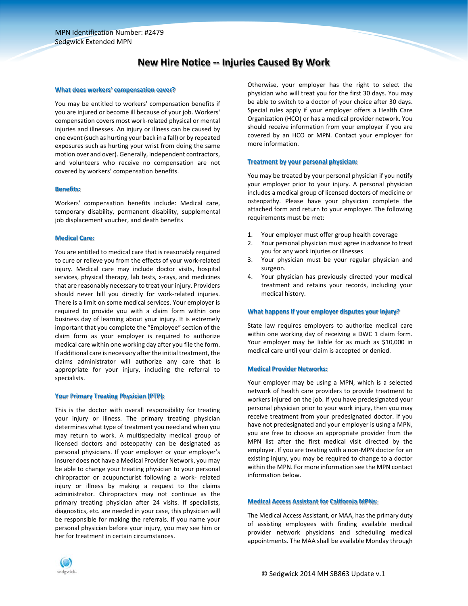## **New Hire Notice ‐‐ Injuries Caused By Work**

#### **What does workers' compensation cover?**

You may be entitled to workers' compensation benefits if you are injured or become ill because of your job. Workers' compensation covers most work‐related physical or mental injuries and illnesses. An injury or illness can be caused by one event (such as hurting your back in a fall) or by repeated exposures such as hurting your wrist from doing the same motion over and over). Generally, independent contractors, and volunteers who receive no compensation are not covered by workers' compensation benefits.

#### **Benefits:**

Workers' compensation benefits include: Medical care, temporary disability, permanent disability, supplemental job displacement voucher, and death benefits

#### **Medical Care:**

You are entitled to medical care that is reasonably required to cure or relieve you from the effects of your work‐related injury. Medical care may include doctor visits, hospital services, physical therapy, lab tests, x-rays, and medicines that are reasonably necessary to treat your injury. Providers should never bill you directly for work-related injuries. There is a limit on some medical services. Your employer is required to provide you with a claim form within one business day of learning about your injury. It is extremely important that you complete the "Employee" section of the claim form as your employer is required to authorize medical care within one working day after you file the form. If additional care is necessary after the initial treatment, the claims administrator will authorize any care that is appropriate for your injury, including the referral to specialists.

#### **Your Primary Treating Physician (PTP):**

This is the doctor with overall responsibility for treating your injury or illness. The primary treating physician determines what type of treatment you need and when you may return to work. A multispecialty medical group of licensed doctors and osteopathy can be designated as personal physicians. If your employer or your employer's insurer does not have a Medical Provider Network, you may be able to change your treating physician to your personal chiropractor or acupuncturist following a work‐ related injury or illness by making a request to the claims administrator. Chiropractors may not continue as the primary treating physician after 24 visits. If specialists, diagnostics, etc. are needed in your case, this physician will be responsible for making the referrals. If you name your personal physician before your injury, you may see him or her for treatment in certain circumstances.

Otherwise, your employer has the right to select the physician who will treat you for the first 30 days. You may be able to switch to a doctor of your choice after 30 days. Special rules apply if your employer offers a Health Care Organization (HCO) or has a medical provider network. You should receive information from your employer if you are covered by an HCO or MPN. Contact your employer for more information.

#### **Treatment by your personal physician:**

You may be treated by your personal physician if you notify your employer prior to your injury. A personal physician includes a medical group of licensed doctors of medicine or osteopathy. Please have your physician complete the attached form and return to your employer. The following requirements must be met:

- 1. Your employer must offer group health coverage
- 2. Your personal physician must agree in advance to treat you for any work injuries or illnesses
- 3. Your physician must be your regular physician and surgeon.
- 4. Your physician has previously directed your medical treatment and retains your records, including your medical history.

## **What happens if your employer disputes your injury?**

State law requires employers to authorize medical care within one working day of receiving a DWC 1 claim form. Your employer may be liable for as much as \$10,000 in medical care until your claim is accepted or denied.

#### **Medical Provider Networks:**

Your employer may be using a MPN, which is a selected network of health care providers to provide treatment to workers injured on the job. If you have predesignated your personal physician prior to your work injury, then you may receive treatment from your predesignated doctor. If you have not predesignated and your employer is using a MPN, you are free to choose an appropriate provider from the MPN list after the first medical visit directed by the employer. If you are treating with a non‐MPN doctor for an existing injury, you may be required to change to a doctor within the MPN. For more information see the MPN contact information below.

#### **Medical Access Assistant for California MPNs:**

The Medical Access Assistant, or MAA, has the primary duty of assisting employees with finding available medical provider network physicians and scheduling medical appointments. The MAA shall be available Monday through

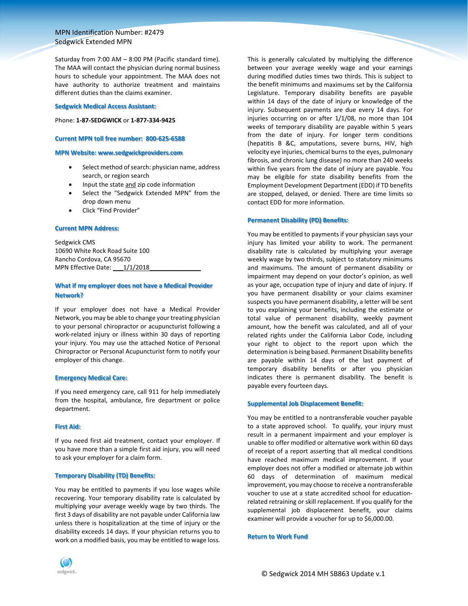Saturday from 7:00 AM – 8:00 PM (Pacific standard time). The MAA will contact the physician during normal business hours to schedule your appointment. The MAA does not have authority to authorize treatment and maintains different duties than the claims examiner.

#### **Sedgwick Medical Access Assistant:**

#### Phone: **1‐87‐SEDGWICK** or **1‐877‐334‐9425**

#### **Current MPN toll free number: 800‐625‐6588**

## **MPN Website: www.sedgwickproviders.com**

- Select method of search: physician name, address search, or region search
- Input the state and zip code information
- Select the "Sedgwick Extended MPN" from the drop down menu
- Click "Find Provider"

#### **Current MPN Address:**

Sedgwick CMS 10690 White Rock Road Suite 100 Rancho Cordova, CA 95670 MPN Effective Date: 1/1/2018

## **What if my employer does not have a Medical Provider Network?**

If your employer does not have a Medical Provider Network, you may be able to change your treating physician to your personal chiropractor or acupuncturist following a work‐related injury or illness within 30 days of reporting your injury. You may use the attached Notice of Personal Chiropractor or Personal Acupuncturist form to notify your employer of this change.

#### **Emergency Medical Care:**

If you need emergency care, call 911 for help immediately from the hospital, ambulance, fire department or police department.

#### **First Aid:**

If you need first aid treatment, contact your employer. If you have more than a simple first aid injury, you will need to ask your employer for a claim form.

## **Temporary Disability (TD) Benefits:**

You may be entitled to payments if you lose wages while recovering. Your temporary disability rate is calculated by multiplying your average weekly wage by two thirds. The first 3 days of disability are not payable under California law unless there is hospitalization at the time of injury or the disability exceeds 14 days. If your physician returns you to work on a modified basis, you may be entitled to wage loss.

This is generally calculated by multiplying the difference between your average weekly wage and your earnings during modified duties times two thirds. This is subject to the benefit minimums and maximums set by the California Legislature. Temporary disability benefits are payable within 14 days of the date of injury or knowledge of the injury. Subsequent payments are due every 14 days. For injuries occurring on or after 1/1/08, no more than 104 weeks of temporary disability are payable within 5 years from the date of injury. For longer term conditions (hepatitis B &C, amputations, severe burns, HIV, high velocity eye injuries, chemical burns to the eyes, pulmonary fibrosis, and chronic lung disease) no more than 240 weeks within five years from the date of injury are payable. You may be eligible for state disability benefits from the Employment Development Department (EDD) if TD benefits are stopped, delayed, or denied. There are time limits so contact EDD for more information.

#### **Permanent Disability (PD) Benefits:**

You may be entitled to payments if your physician says your injury has limited your ability to work. The permanent disability rate is calculated by multiplying your average weekly wage by two thirds, subject to statutory minimums and maximums. The amount of permanent disability or impairment may depend on your doctor's opinion, as well as your age, occupation type of injury and date of injury. If you have permanent disability or your claims examiner suspects you have permanent disability, a letter will be sent to you explaining your benefits, including the estimate or total value of permanent disability, weekly payment amount, how the benefit was calculated, and all of your related rights under the California Labor Code, including your right to object to the report upon which the determination is being based. Permanent Disability benefits are payable within 14 days of the last payment of temporary disability benefits or after you physician indicates there is permanent disability. The benefit is payable every fourteen days.

#### **Supplemental Job Displacement Benefit:**

You may be entitled to a nontransferable voucher payable to a state approved school. To qualify, your injury must result in a permanent impairment and your employer is unable to offer modified or alternative work within 60 days of receipt of a report asserting that all medical conditions have reached maximum medical improvement. If your employer does not offer a modified or alternate job within 60 days of determination of maximum medical improvement, you may choose to receive a nontransferable voucher to use at a state accredited school for education‐ related retraining or skill replacement. If you qualify for the supplemental job displacement benefit, your claims examiner will provide a voucher for up to \$6,000.00.

#### **Return to Work Fund**

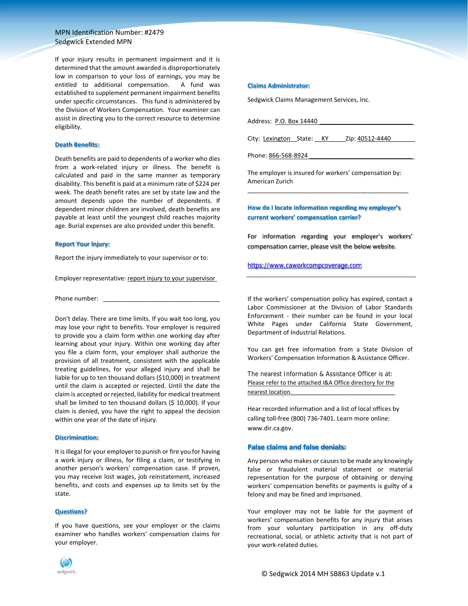If your injury results in permanent impairment and it is determined that the amount awarded is disproportionately low in comparison to your loss of earnings, you may be entitled to additional compensation. A fund was established to supplement permanent impairment benefits under specific circumstances. This fund is administered by the Division of Workers Compensation. Your examiner can assist in directing you to the correct resource to determine eligibility.

#### **Death Benefits:**

Death benefits are paid to dependents of a worker who dies from a work-related injury or illness. The benefit is calculated and paid in the same manner as temporary disability. This benefit is paid at a minimum rate of \$224 per week. The death benefit rates are set by state law and the amount depends upon the number of dependents. If dependent minor children are involved, death benefits are payable at least until the youngest child reaches majority age. Burial expenses are also provided under this benefit.

#### **Report Your Injury:**

Report the injury immediately to your supervisor or to:

Employer representative: report injury to your supervisor

Phone number:

Don't delay. There are time limits. If you wait too long, you may lose your right to benefits. Your employer is required to provide you a claim form within one working day after learning about your injury. Within one working day after you file a claim form, your employer shall authorize the provision of all treatment, consistent with the applicable treating guidelines, for your alleged injury and shall be liable for up to ten thousand dollars (\$10,000) in treatment until the claim is accepted or rejected. Until the date the claim is accepted or rejected, liability for medical treatment shall be limited to ten thousand dollars (\$ 10,000). If your claim is denied, you have the right to appeal the decision within one year of the date of injury.

#### **Discrimination:**

It is illegal for your employer to punish or fire you for having a work injury or illness, for filing a claim, or testifying in another person's workers' compensation case. If proven, you may receive lost wages, job reinstatement, increased benefits, and costs and expenses up to limits set by the state.

#### **Questions?**

If you have questions, see your employer or the claims examiner who handles workers' compensation claims for your employer.



#### **Claims Administrator:**

Sedgwick Claims Management Services, Inc.

Address: P.O. Box 14440

City: Lexington State: KY \_\_\_ Zip: 40512-4440

Phone: 866-568-8924

The employer is insured for workers' compensation by: American Zurich \_\_\_\_\_\_\_\_\_\_\_\_\_\_\_\_\_\_\_\_\_\_\_\_\_\_\_\_\_\_\_\_\_\_\_\_\_\_\_\_\_\_\_\_\_\_\_

## **How do I locate information regarding my employer's current workers' compensation carrier?**

For information regarding your employer's workers' compensation carrier, please visit the below website.

## https://www.caworkcompcoverage.com

If the workers' compensation policy has expired, contact a Labor Commissioner at the Division of Labor Standards Enforcement - their number can be found in your local White Pages under California State Government, Department of Industrial Relations.

You can get free information from a State Division of Workers' Compensation Information & Assistance Officer.

The nearest Information & Assistance Officer is at: Please refer to the attached I&A Office directory for the nearest location.

Hear recorded information and a list of local offices by calling toll‐free (800) 736‐7401. Learn more online: www.dir.ca.gov.

#### **False claims and false denials:**

Any person who makes or causesto be made any knowingly false or fraudulent material statement or material representation for the purpose of obtaining or denying workers' compensation benefits or payments is guilty of a felony and may be fined and imprisoned.

Your employer may not be liable for the payment of workers' compensation benefits for any injury that arises from your voluntary participation in any off-duty recreational, social, or athletic activity that is not part of your work‐related duties.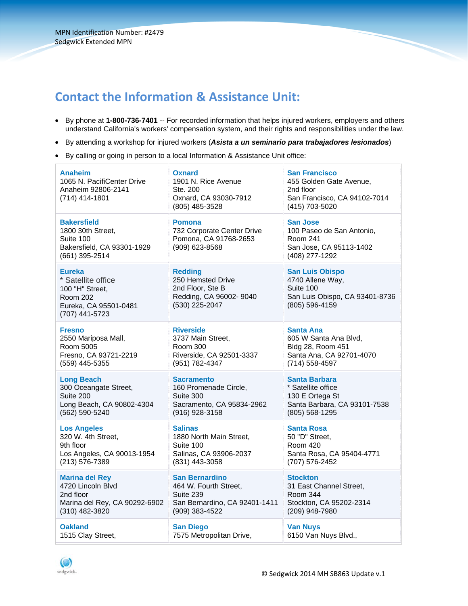# **Contact the Information & Assistance Unit:**

- **By phone at 1-800-736-7401** -- For recorded information that helps injured workers, employers and others understand California's workers' compensation system, and their rights and responsibilities under the law.
- By attending a workshop for injured workers (*Asista a un seminario para trabajadores lesionados*)
- By calling or going in person to a local Information & Assistance Unit office:

| Anaheim<br>1065 N. PacifiCenter Drive<br>Anaheim 92806-2141<br>(714) 414-1801                                 | <b>Oxnard</b><br>1901 N. Rice Avenue<br>Ste. 200<br>Oxnard, CA 93030-7912<br>(805) 485-3528          | <b>San Francisco</b><br>455 Golden Gate Avenue,<br>2nd floor<br>San Francisco, CA 94102-7014<br>(415) 703-5020 |
|---------------------------------------------------------------------------------------------------------------|------------------------------------------------------------------------------------------------------|----------------------------------------------------------------------------------------------------------------|
| Bakersfield<br>1800 30th Street,<br>Suite 100<br>Bakersfield, CA 93301-1929<br>(661) 395-2514                 | <b>Pomona</b><br>732 Corporate Center Drive<br>Pomona, CA 91768-2653<br>(909) 623-8568               | <b>San Jose</b><br>100 Paseo de San Antonio,<br>Room 241<br>San Jose, CA 95113-1402<br>(408) 277-1292          |
| <b>Eureka</b><br>* Satellite office<br>100 "H" Street,<br>Room 202<br>Eureka, CA 95501-0481<br>(707) 441-5723 | <b>Redding</b><br>250 Hemsted Drive<br>2nd Floor, Ste B<br>Redding, CA 96002- 9040<br>(530) 225-2047 | <b>San Luis Obispo</b><br>4740 Allene Way,<br>Suite 100<br>San Luis Obispo, CA 93401-8736<br>(805) 596-4159    |
| Fresno                                                                                                        | <b>Riverside</b>                                                                                     | <b>Santa Ana</b>                                                                                               |
| 2550 Mariposa Mall,                                                                                           | 3737 Main Street,                                                                                    | 605 W Santa Ana Blvd,                                                                                          |
| Room 5005                                                                                                     | <b>Room 300</b>                                                                                      | Bldg 28, Room 451                                                                                              |
| Fresno, CA 93721-2219                                                                                         | Riverside, CA 92501-3337                                                                             | Santa Ana, CA 92701-4070                                                                                       |
| (559) 445-5355                                                                                                | (951) 782-4347                                                                                       | (714) 558-4597                                                                                                 |
| <b>Long Beach</b>                                                                                             | <b>Sacramento</b>                                                                                    | <b>Santa Barbara</b>                                                                                           |
| 300 Oceangate Street,                                                                                         | 160 Promenade Circle,                                                                                | * Satellite office                                                                                             |
| Suite 200                                                                                                     | Suite 300                                                                                            | 130 E Ortega St                                                                                                |
| Long Beach, CA 90802-4304                                                                                     | Sacramento, CA 95834-2962                                                                            | Santa Barbara, CA 93101-7538                                                                                   |
| (562) 590-5240                                                                                                | (916) 928-3158                                                                                       | (805) 568-1295                                                                                                 |
| <b>Los Angeles</b>                                                                                            | <b>Salinas</b>                                                                                       | <b>Santa Rosa</b>                                                                                              |
| 320 W. 4th Street,                                                                                            | 1880 North Main Street,                                                                              | 50 "D" Street,                                                                                                 |
| 9th floor                                                                                                     | Suite 100                                                                                            | <b>Room 420</b>                                                                                                |
| Los Angeles, CA 90013-1954                                                                                    | Salinas, CA 93906-2037                                                                               | Santa Rosa, CA 95404-4771                                                                                      |
| (213) 576-7389                                                                                                | (831) 443-3058                                                                                       | (707) 576-2452                                                                                                 |
| <b>Marina del Rey</b>                                                                                         | <b>San Bernardino</b>                                                                                | <b>Stockton</b>                                                                                                |
| 4720 Lincoln Blvd                                                                                             | 464 W. Fourth Street,                                                                                | 31 East Channel Street,                                                                                        |
| 2nd floor                                                                                                     | Suite 239                                                                                            | Room 344                                                                                                       |
| Marina del Rey, CA 90292-6902                                                                                 | San Bernardino, CA 92401-1411                                                                        | Stockton, CA 95202-2314                                                                                        |
| (310) 482-3820                                                                                                | (909) 383-4522                                                                                       | (209) 948-7980                                                                                                 |
| <b>Oakland</b>                                                                                                | <b>San Diego</b>                                                                                     | <b>Van Nuys</b>                                                                                                |
| 1515 Clay Street,                                                                                             | 7575 Metropolitan Drive,                                                                             | 6150 Van Nuys Blvd.,                                                                                           |

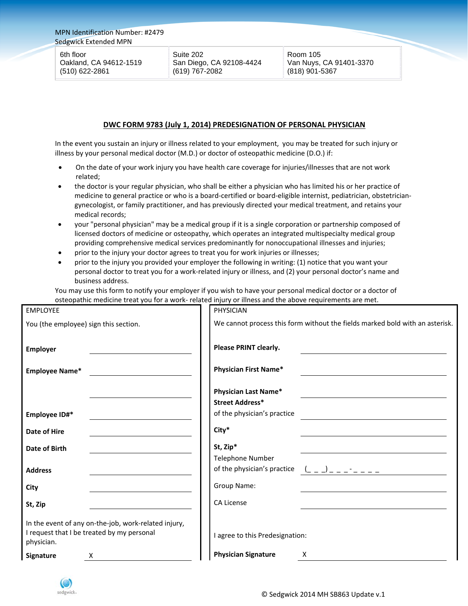6th floor Oakland, CA 94612-1519 (510) 622-2861

Suite 202 San Diego, CA 92108-4424 (619) 767-2082

Room 105 Van Nuys, CA 91401-3370 (818) 901-5367

## **DWC FORM 9783 (July 1, 2014) PREDESIGNATION OF PERSONAL PHYSICIAN**

In the event you sustain an injury or illness related to your employment, you may be treated for such injury or illness by your personal medical doctor (M.D.) or doctor of osteopathic medicine (D.O.) if:

- On the date of your work injury you have health care coverage for injuries/illnesses that are not work related;
- the doctor is your regular physician, who shall be either a physician who has limited his or her practice of medicine to general practice or who is a board‐certified or board‐eligible internist, pediatrician, obstetrician‐ gynecologist, or family practitioner, and has previously directed your medical treatment, and retains your medical records;
- your "personal physician" may be a medical group if it is a single corporation or partnership composed of licensed doctors of medicine or osteopathy, which operates an integrated multispecialty medical group providing comprehensive medical services predominantly for nonoccupational illnesses and injuries;
- prior to the injury your doctor agrees to treat you for work injuries or illnesses;
- prior to the injury you provided your employer the following in writing: (1) notice that you want your personal doctor to treat you for a work-related injury or illness, and (2) your personal doctor's name and business address.

You may use this form to notify your employer if you wish to have your personal medical doctor or a doctor of osteopathic medicine treat you for a work- related injury or illness and the above requirements are met.

| <b>EMPLOYEE</b>                                                                                                  | PHYSICIAN                                                                    |
|------------------------------------------------------------------------------------------------------------------|------------------------------------------------------------------------------|
| You (the employee) sign this section.                                                                            | We cannot process this form without the fields marked bold with an asterisk. |
| <b>Employer</b>                                                                                                  | Please PRINT clearly.                                                        |
| Employee Name*                                                                                                   | <b>Physician First Name*</b>                                                 |
|                                                                                                                  | Physician Last Name*<br><b>Street Address*</b>                               |
| Employee ID#*                                                                                                    | of the physician's practice                                                  |
| Date of Hire                                                                                                     | City*                                                                        |
| Date of Birth                                                                                                    | St, Zip*                                                                     |
|                                                                                                                  | Telephone Number                                                             |
| <b>Address</b>                                                                                                   | of the physician's practice<br>$($ $  )$ $      -$                           |
| City                                                                                                             | Group Name:                                                                  |
| St, Zip                                                                                                          | <b>CA License</b>                                                            |
| In the event of any on-the-job, work-related injury,<br>I request that I be treated by my personal<br>physician. | I agree to this Predesignation:                                              |
| Signature<br>х                                                                                                   | <b>Physician Signature</b><br>X                                              |

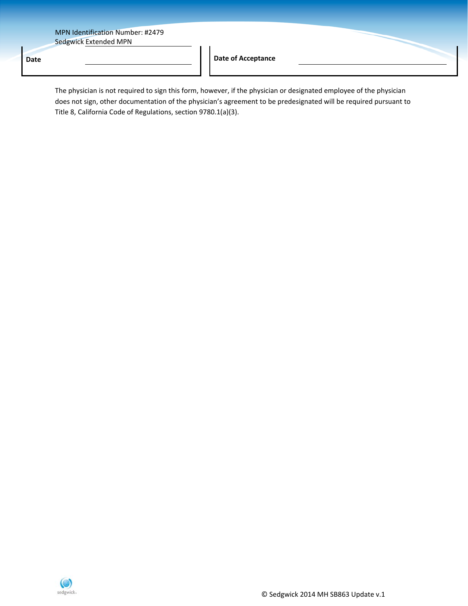**Date Date of Acceptance** 

The physician is not required to sign this form, however, if the physician or designated employee of the physician does not sign, other documentation of the physician's agreement to be predesignated will be required pursuant to Title 8, California Code of Regulations, section 9780.1(a)(3).

 $\mathcal{A}$ 

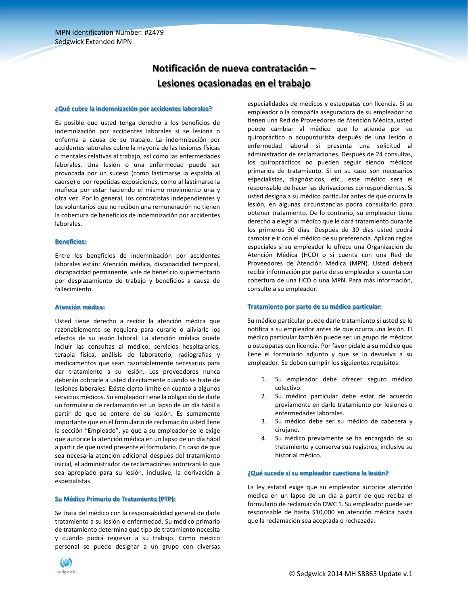## **Notificación de nueva contratación – Lesiones ocasionadas en el trabajo**

#### **¿Qué cubre la indemnización por accidentes laborales?**

Es posible que usted tenga derecho a los beneficios de indemnización por accidentes laborales si se lesiona o enferma a causa de su trabajo. La indemnización por accidentes laborales cubre la mayoría de las lesiones físicas o mentales relativas al trabajo, así como las enfermedades laborales. Una lesión o una enfermedad puede ser provocada por un suceso (como lastimarse la espalda al caerse) o por repetidas exposiciones, como al lastimarse la muñeca por estar haciendo el mismo movimiento una y otra vez. Por lo general, los contratistas independientes y los voluntarios que no reciben una remuneración no tienen la cobertura de beneficios de indemnización por accidentes laborales.

#### **Beneficios:**

Entre los beneficios de indemnización por accidentes laborales están: Atención médica, discapacidad temporal, discapacidad permanente, vale de beneficio suplementario por desplazamiento de trabajo y beneficios a causa de fallecimiento.

#### **Atención médica:**

Usted tiene derecho a recibir la atención médica que razonablemente se requiera para curarle o aliviarle los efectos de su lesión laboral. La atención médica puede incluir las consultas al médico, servicios hospitalarios, terapia física, análisis de laboratorio, radiografías y medicamentos que sean razonablemente necesarios para dar tratamiento a su lesión. Los proveedores nunca deberán cobrarle a usted directamente cuando se trate de lesiones laborales. Existe cierto límite en cuanto a algunos servicios médicos. Su empleador tiene la obligación de darle un formulario de reclamación en un lapso de un día hábil a partir de que se entere de su lesión. Es sumamente importante que en el formulario de reclamación usted llene la sección "Empleado", ya que a su empleador se le exige que autorice la atención médica en un lapso de un día hábil a partir de que usted presente el formulario. En caso de que sea necesaria atención adicional después del tratamiento inicial, el administrador de reclamaciones autorizará lo que sea apropiado para su lesión, inclusive, la derivación a especialistas.

#### **Su Médico Primario de Tratamiento (PTP):**

Se trata del médico con la responsabilidad general de darle tratamiento a su lesión o enfermedad. Su médico primario de tratamiento determina qué tipo de tratamiento necesita y cuándo podrá regresar a su trabajo. Como médico personal se puede designar a un grupo con diversas



especialidades de médicos y osteópatas con licencia. Si su empleador o la compañía aseguradora de su empleador no tienen una Red de Proveedores de Atención Médica, usted puede cambiar al médico que lo atienda por su quiropráctico o acupunturista después de una lesión o enfermedad laboral si presenta una solicitud al administrador de reclamaciones. Después de 24 consultas, los quiroprácticos no pueden seguir siendo médicos primarios de tratamiento. Si en su caso son necesarios especialistas, diagnósticos, etc., este médico será el responsable de hacer las derivaciones correspondientes. Si usted designa a su médico particular antes de que ocurra la lesión, en algunas circunstancias podrá consultarlo para obtener tratamiento. De lo contrario, su empleador tiene derecho a elegir al médico que le dará tratamiento durante los primeros 30 días. Después de 30 días usted podrá cambiar e ir con el médico de su preferencia. Aplican reglas especiales si su empleador le ofrece una Organización de Atención Médica (HCO) o si cuenta con una Red de Proveedores de Atención Médica (MPN). Usted deberá recibir información por parte de su empleador si cuenta con cobertura de una HCO o una MPN. Para más información, consulte a su empleador.

#### **Tratamiento por parte de su médico particular:**

Su médico particular puede darle tratamiento si usted se lo notifica a su empleador antes de que ocurra una lesión. El médico particular también puede ser un grupo de médicos u osteópatas con licencia. Por favor pídale a su médico que llene el formulario adjunto y que se lo devuelva a su empleador. Se deben cumplir los siguientes requisitos:

- 1. Su empleador debe ofrecer seguro médico colectivo.
- 2. Su médico particular debe estar de acuerdo previamente en darle tratamiento por lesiones o enfermedades laborales.
- 3. Su médico debe ser su médico de cabecera y cirujano.
- 4. Su médico previamente se ha encargado de su tratamiento y conserva sus registros, inclusive su historial médico.

#### **¿Qué sucede si su empleador cuestiona la lesión?**

La ley estatal exige que su empleador autorice atención médica en un lapso de un día a partir de que reciba el formulario de reclamación DWC 1. Su empleador puede ser responsable de hasta \$10,000 en atención médica hasta que la reclamación sea aceptada o rechazada.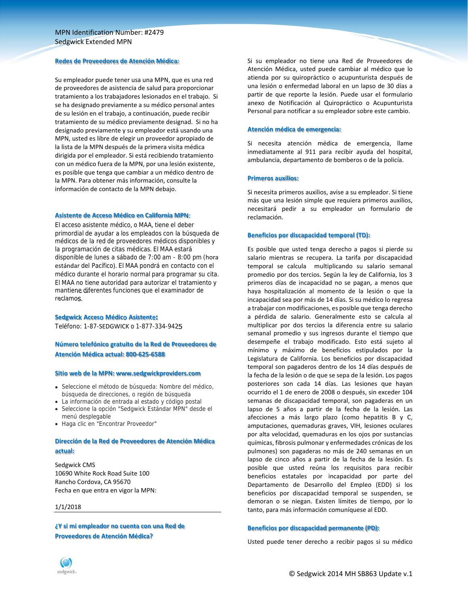#### **Redes de Proveedores de Atención Médica:**

Su empleador puede tener usa una MPN, que es una red de proveedores de asistencia de salud para proporcionar tratamiento a los trabajadores lesionados en el trabajo. Si se ha designado previamente a su médico personal antes de su lesión en el trabajo, a continuación, puede recibir tratamiento de su médico previamente designad. Si no ha designado previamente y su empleador está usando una MPN, usted es libre de elegir un proveedor apropiado de la lista de la MPN después de la primera visita médica dirigida por el empleador. Si está recibiendo tratamiento con un médico fuera de la MPN, por una lesión existente, es posible que tenga que cambiar a un médico dentro de la MPN. Para obtener más información, consulte la información de contacto de la MPN debajo.

#### **Asistente de Acceso Médico en California MPN:**

El acceso asistente médico, o MAA, tiene el deber primordial de ayudar a los empleados con la búsqueda de médicos de la red de proveedores médicos disponibles y la programación de citas médicas. El MAA estará disponible de lunes a sábado de 7:00 am - 8:00 pm (hora estándar del Pacífico). El MAA pondrá en contacto con el médico durante el horario normal para programar su cita. El MAA no tiene autoridad para autorizar el tratamiento y mantiene diferentes funciones que el examinador de reclamos.

#### **Sedgwick Acceso Médico Asistente:**

Teléfono: 1-87-SEDGWICK o 1-877-334-9425

## **Número telefónico gratuito de la Red de Proveedores de Atención Médica actual: 800‐625‐6588**

#### **Sitio web de la MPN: www.sedgwickproviders.com**

- Seleccione el método de búsqueda: Nombre del médico, búsqueda de direcciones, o región de búsqueda
- La información de entrada al estado y código postal Seleccione la opción "Sedgwick Estándar MPN" desde el
- menú desplegable
- Haga clic en "Encontrar Proveedor"

## **Dirección de la Red de Proveedores de Atención Médica actual:**

Sedgwick CMS 10690 White Rock Road Suite 100 Rancho Cordova, CA 95670 Fecha en que entra en vigor la MPN:

#### 1/1/2018

**¿Y si mi empleador no cuenta con una Red de Proveedores de Atención Médica?**

Si su empleador no tiene una Red de Proveedores de Atención Médica, usted puede cambiar al médico que lo atienda por su quiropráctico o acupunturista después de una lesión o enfermedad laboral en un lapso de 30 días a partir de que reporte la lesión. Puede usar el formulario anexo de Notificación al Quiropráctico o Acupunturista Personal para notificar a su empleador sobre este cambio.

#### **Atención médica de emergencia:**

Si necesita atención médica de emergencia, llame inmediatamente al 911 para recibir ayuda del hospital, ambulancia, departamento de bomberos o de la policía.

#### **Primeros auxilios:**

Si necesita primeros auxilios, avise a su empleador. Si tiene más que una lesión simple que requiera primeros auxilios, necesitará pedir a su empleador un formulario de reclamación.

#### **Beneficios por discapacidad temporal (TD):**

Es posible que usted tenga derecho a pagos si pierde su salario mientras se recupera. La tarifa por discapacidad temporal se calcula multiplicando su salario semanal promedio por dos tercios. Según la ley de California, los 3 primeros días de incapacidad no se pagan, a menos que haya hospitalización al momento de la lesión o que la incapacidad sea por más de 14 días. Si su médico lo regresa a trabajar con modificaciones, es posible que tenga derecho a pérdida de salario. Generalmente esto se calcula al multiplicar por dos tercios la diferencia entre su salario semanal promedio y sus ingresos durante el tiempo que desempeñe el trabajo modificado. Esto está sujeto al mínimo y máximo de beneficios estipulados por la Legislatura de California. Los beneficios por discapacidad temporal son pagaderos dentro de los 14 días después de la fecha de la lesión o de que se sepa de la lesión. Los pagos posteriores son cada 14 días. Las lesiones que hayan ocurrido el 1 de enero de 2008 o después, sin exceder 104 semanas de discapacidad temporal, son pagaderas en un lapso de 5 años a partir de la fecha de la lesión. Las afecciones a más largo plazo (como hepatitis B y C, amputaciones, quemaduras graves, VIH, lesiones oculares por alta velocidad, quemaduras en los ojos por sustancias químicas, fibrosis pulmonar y enfermedades crónicas de los pulmones) son pagaderas no más de 240 semanas en un lapso de cinco años a partir de la fecha de la lesión. Es posible que usted reúna los requisitos para recibir beneficios estatales por incapacidad por parte del Departamento de Desarrollo del Empleo (EDD) si los beneficios por discapacidad temporal se suspenden, se demoran o se niegan. Existen límites de tiempo, por lo tanto, para más información comuníquese al EDD.

#### **Beneficios por discapacidad permanente (PD):**

Usted puede tener derecho a recibir pagos si su médico

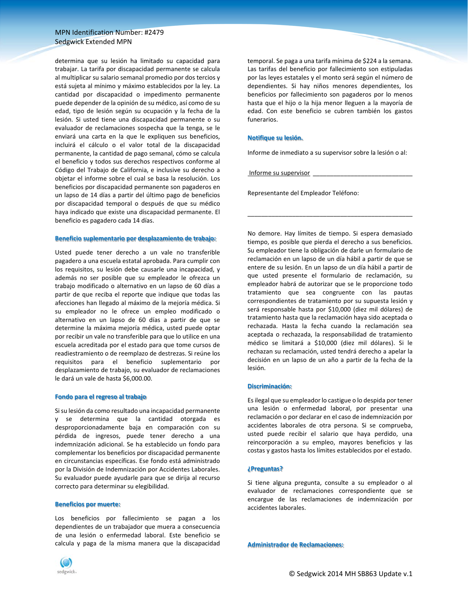determina que su lesión ha limitado su capacidad para trabajar. La tarifa por discapacidad permanente se calcula al multiplicar su salario semanal promedio por dos tercios y está sujeta al mínimo y máximo establecidos por la ley. La cantidad por discapacidad o impedimento permanente puede depender de la opinión de su médico, así como de su edad, tipo de lesión según su ocupación y la fecha de la lesión. Si usted tiene una discapacidad permanente o su evaluador de reclamaciones sospecha que la tenga, se le enviará una carta en la que le expliquen sus beneficios, incluirá el cálculo o el valor total de la discapacidad permanente, la cantidad de pago semanal, cómo se calcula el beneficio y todos sus derechos respectivos conforme al Código del Trabajo de California, e inclusive su derecho a objetar el informe sobre el cual se basa la resolución. Los beneficios por discapacidad permanente son pagaderos en un lapso de 14 días a partir del último pago de beneficios por discapacidad temporal o después de que su médico haya indicado que existe una discapacidad permanente. El beneficio es pagadero cada 14 días.

#### **Beneficio suplementario por desplazamiento de trabajo:**

Usted puede tener derecho a un vale no transferible pagadero a una escuela estatal aprobada. Para cumplir con los requisitos, su lesión debe causarle una incapacidad, y además no ser posible que su empleador le ofrezca un trabajo modificado o alternativo en un lapso de 60 días a partir de que reciba el reporte que indique que todas las afecciones han llegado al máximo de la mejoría médica. Si su empleador no le ofrece un empleo modificado o alternativo en un lapso de 60 días a partir de que se determine la máxima mejoría médica, usted puede optar por recibir un vale no transferible para que lo utilice en una escuela acreditada por el estado para que tome cursos de readiestramiento o de reemplazo de destrezas. Si reúne los requisitos para el beneficio suplementario por desplazamiento de trabajo, su evaluador de reclamaciones le dará un vale de hasta \$6,000.00.

#### **Fondo para el regreso al trabajo**

Sisu lesión da como resultado una incapacidad permanente y se determina que la cantidad otorgada es desproporcionadamente baja en comparación con su pérdida de ingresos, puede tener derecho a una indemnización adicional. Se ha establecido un fondo para complementar los beneficios por discapacidad permanente en circunstancias específicas. Ese fondo está administrado por la División de Indemnización por Accidentes Laborales. Su evaluador puede ayudarle para que se dirija al recurso correcto para determinar su elegibilidad.

#### **Beneficios por muerte:**

Los beneficios por fallecimiento se pagan a los dependientes de un trabajador que muera a consecuencia de una lesión o enfermedad laboral. Este beneficio se calcula y paga de la misma manera que la discapacidad



temporal. Se paga a una tarifa mínima de \$224 a la semana. Las tarifas del beneficio por fallecimiento son estipuladas por las leyes estatales y el monto será según el número de dependientes. Si hay niños menores dependientes, los beneficios por fallecimiento son pagaderos por lo menos hasta que el hijo o la hija menor lleguen a la mayoría de edad. Con este beneficio se cubren también los gastos funerarios.

#### **Notifique su lesión.**

Informe de inmediato a su supervisor sobre la lesión o al:

\_\_\_\_\_\_\_\_\_\_\_\_\_\_\_\_\_\_\_\_\_\_\_\_\_\_\_\_\_\_\_\_\_\_\_\_\_\_\_\_\_\_\_\_\_\_\_\_

Informe su supervisor

Representante del Empleador Teléfono:

No demore. Hay límites de tiempo. Si espera demasiado tiempo, es posible que pierda el derecho a sus beneficios. Su empleador tiene la obligación de darle un formulario de reclamación en un lapso de un día hábil a partir de que se entere de su lesión. En un lapso de un día hábil a partir de que usted presente el formulario de reclamación, su empleador habrá de autorizar que se le proporcione todo tratamiento que sea congruente con las pautas correspondientes de tratamiento por su supuesta lesión y será responsable hasta por \$10,000 (diez mil dólares) de tratamiento hasta que la reclamación haya sido aceptada o rechazada. Hasta la fecha cuando la reclamación sea aceptada o rechazada, la responsabilidad de tratamiento médico se limitará a \$10,000 (diez mil dólares). Si le rechazan su reclamación, usted tendrá derecho a apelar la decisión en un lapso de un año a partir de la fecha de la lesión.

#### **Discriminación:**

Es ilegal que su empleador lo castigue o lo despida por tener una lesión o enfermedad laboral, por presentar una reclamación o por declarar en el caso de indemnización por accidentes laborales de otra persona. Si se comprueba, usted puede recibir el salario que haya perdido, una reincorporación a su empleo, mayores beneficios y las costas y gastos hasta los límites establecidos por el estado.

#### **¿Preguntas?**

Si tiene alguna pregunta, consulte a su empleador o al evaluador de reclamaciones correspondiente que se encargue de las reclamaciones de indemnización por accidentes laborales.

**Administrador de Reclamaciones:**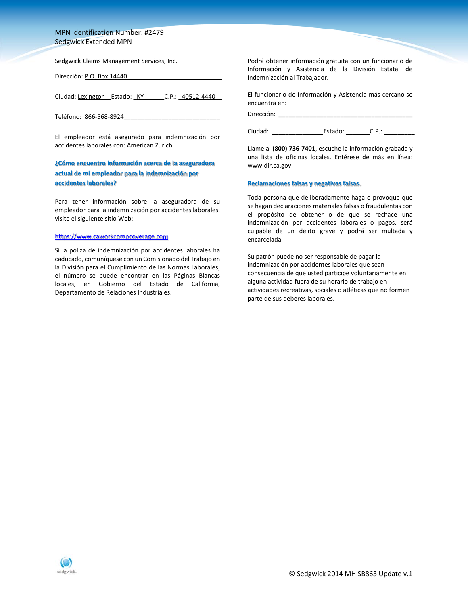Sedgwick Claims Management Services, Inc.

Dirección: P.O. Box 14440

Ciudad: Lexington Estado: KY C.P.: 40512-4440

Teléfono: 866-568-8924

El empleador está asegurado para indemnización por accidentes laborales con: American Zurich

## **¿Cómo encuentro información acerca de la aseguradora actual de mi empleador para la indemnización por accidentes laborales?**

Para tener información sobre la aseguradora de su empleador para la indemnización por accidentes laborales, visite el siguiente sitio Web:

## https://www.caworkcompcoverage.com

Si la póliza de indemnización por accidentes laborales ha caducado, comuníquese con un Comisionado del Trabajo en la División para el Cumplimiento de las Normas Laborales; el número se puede encontrar en las Páginas Blancas locales, en Gobierno del Estado de California, Departamento de Relaciones Industriales.

Podrá obtener información gratuita con un funcionario de Información y Asistencia de la División Estatal de Indemnización al Trabajador.

El funcionario de Información y Asistencia más cercano se encuentra en:

Dirección:

Ciudad: \_\_\_\_\_\_\_\_\_\_\_\_\_\_\_Estado: \_\_\_\_\_\_\_C.P.: \_\_\_\_\_\_\_\_\_

Llame al **(800) 736‐7401**, escuche la información grabada y una lista de oficinas locales. Entérese de más en línea: www.dir.ca.gov.

#### **Reclamaciones falsas y negativas falsas.**

Toda persona que deliberadamente haga o provoque que se hagan declaraciones materiales falsas o fraudulentas con el propósito de obtener o de que se rechace una indemnización por accidentes laborales o pagos, será culpable de un delito grave y podrá ser multada y encarcelada.

Su patrón puede no ser responsable de pagar la indemnización por accidentes laborales que sean consecuencia de que usted participe voluntariamente en alguna actividad fuera de su horario de trabajo en actividades recreativas, sociales o atléticas que no formen parte de sus deberes laborales.

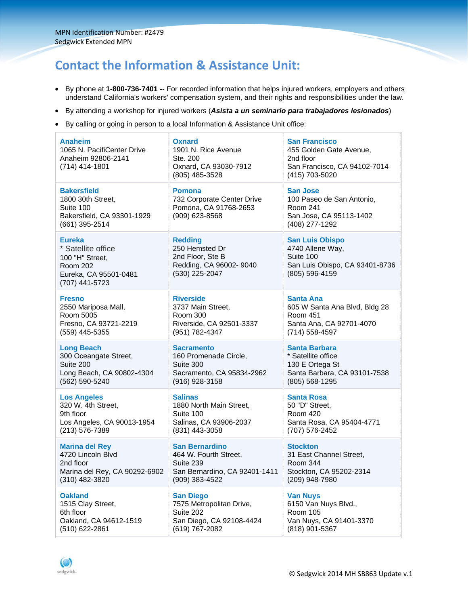# **Contact the Information & Assistance Unit:**

- By phone at **1-800-736-7401** -- For recorded information that helps injured workers, employers and others understand California's workers' compensation system, and their rights and responsibilities under the law.
- By attending a workshop for injured workers (*Asista a un seminario para trabajadores lesionados*)
- By calling or going in person to a local Information & Assistance Unit office:

| Anaheim<br>1065 N. PacifiCenter Drive<br>Anaheim 92806-2141<br>(714) 414-1801                                        | <b>Oxnard</b><br>1901 N. Rice Avenue<br>Ste. 200<br>Oxnard, CA 93030-7912<br>(805) 485-3528       | <b>San Francisco</b><br>455 Golden Gate Avenue,<br>2nd floor<br>San Francisco, CA 94102-7014<br>(415) 703-5020 |
|----------------------------------------------------------------------------------------------------------------------|---------------------------------------------------------------------------------------------------|----------------------------------------------------------------------------------------------------------------|
| <b>Bakersfield</b><br>1800 30th Street,<br>Suite 100<br>Bakersfield, CA 93301-1929<br>(661) 395-2514                 | <b>Pomona</b><br>732 Corporate Center Drive<br>Pomona, CA 91768-2653<br>(909) 623-8568            | <b>San Jose</b><br>100 Paseo de San Antonio,<br><b>Room 241</b><br>San Jose, CA 95113-1402<br>(408) 277-1292   |
| <b>Eureka</b><br>* Satellite office<br>100 "H" Street,<br><b>Room 202</b><br>Eureka, CA 95501-0481<br>(707) 441-5723 | <b>Redding</b><br>250 Hemsted Dr<br>2nd Floor, Ste B<br>Redding, CA 96002- 9040<br>(530) 225-2047 | <b>San Luis Obispo</b><br>4740 Allene Way,<br>Suite 100<br>San Luis Obispo, CA 93401-8736<br>(805) 596-4159    |
| Fresno                                                                                                               | <b>Riverside</b>                                                                                  | <b>Santa Ana</b>                                                                                               |
| 2550 Mariposa Mall,                                                                                                  | 3737 Main Street,                                                                                 | 605 W Santa Ana Blvd, Bldg 28                                                                                  |
| Room 5005                                                                                                            | <b>Room 300</b>                                                                                   | <b>Room 451</b>                                                                                                |
| Fresno, CA 93721-2219                                                                                                | Riverside, CA 92501-3337                                                                          | Santa Ana, CA 92701-4070                                                                                       |
| (559) 445-5355                                                                                                       | (951) 782-4347                                                                                    | (714) 558-4597                                                                                                 |
| <b>Long Beach</b>                                                                                                    | <b>Sacramento</b>                                                                                 | <b>Santa Barbara</b>                                                                                           |
| 300 Oceangate Street,                                                                                                | 160 Promenade Circle,                                                                             | * Satellite office                                                                                             |
| Suite 200                                                                                                            | Suite 300                                                                                         | 130 E Ortega St                                                                                                |
| Long Beach, CA 90802-4304                                                                                            | Sacramento, CA 95834-2962                                                                         | Santa Barbara, CA 93101-7538                                                                                   |
| (562) 590-5240                                                                                                       | (916) 928-3158                                                                                    | (805) 568-1295                                                                                                 |
| <b>Los Angeles</b>                                                                                                   | <b>Salinas</b>                                                                                    | <b>Santa Rosa</b>                                                                                              |
| 320 W. 4th Street,                                                                                                   | 1880 North Main Street,                                                                           | 50 "D" Street,                                                                                                 |
| 9th floor                                                                                                            | Suite 100                                                                                         | <b>Room 420</b>                                                                                                |
| Los Angeles, CA 90013-1954                                                                                           | Salinas, CA 93906-2037                                                                            | Santa Rosa, CA 95404-4771                                                                                      |
| (213) 576-7389                                                                                                       | (831) 443-3058                                                                                    | (707) 576-2452                                                                                                 |
| <b>Marina del Rey</b>                                                                                                | <b>San Bernardino</b>                                                                             | <b>Stockton</b>                                                                                                |
| 4720 Lincoln Blvd                                                                                                    | 464 W. Fourth Street,                                                                             | 31 East Channel Street,                                                                                        |
| 2nd floor                                                                                                            | Suite 239                                                                                         | Room 344                                                                                                       |
| Marina del Rey, CA 90292-6902                                                                                        | San Bernardino, CA 92401-1411                                                                     | Stockton, CA 95202-2314                                                                                        |
| (310) 482-3820                                                                                                       | (909) 383-4522                                                                                    | (209) 948-7980                                                                                                 |
| <b>Oakland</b>                                                                                                       | <b>San Diego</b>                                                                                  | <b>Van Nuys</b>                                                                                                |
| 1515 Clay Street,                                                                                                    | 7575 Metropolitan Drive,                                                                          | 6150 Van Nuys Blvd.,                                                                                           |
| 6th floor                                                                                                            | Suite 202                                                                                         | <b>Room 105</b>                                                                                                |
| Oakland, CA 94612-1519                                                                                               | San Diego, CA 92108-4424                                                                          | Van Nuys, CA 91401-3370                                                                                        |
| (510) 622-2861                                                                                                       | (619) 767-2082                                                                                    | (818) 901-5367                                                                                                 |